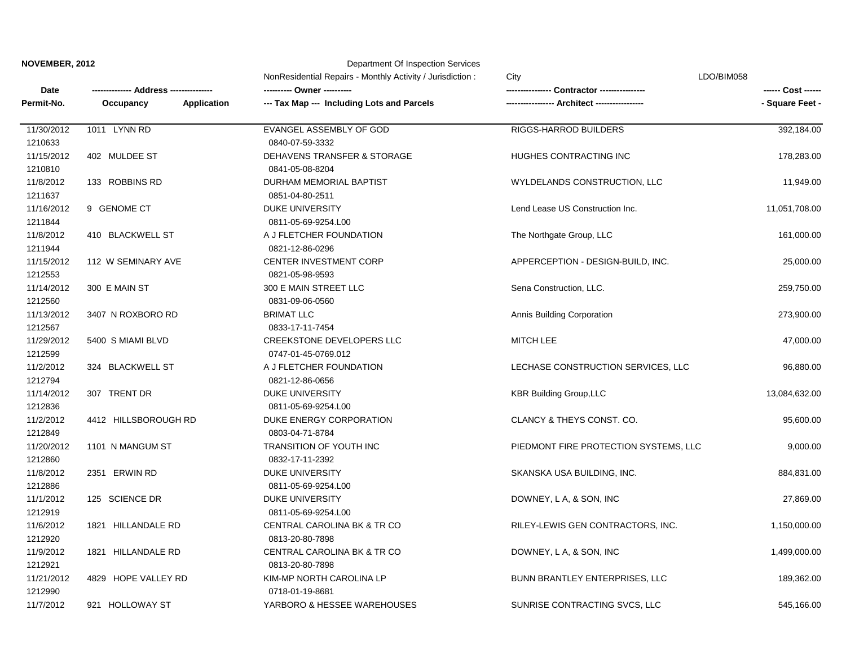## **NOVEMBER, 2012 Department Of Inspection Services**

| Date<br>Permit-No. |                                                               | NonResidential Repairs - Monthly Activity / Jurisdiction:<br>--- Tax Map --- Including Lots and Parcels | City                                  | LDO/BIM058      |            |
|--------------------|---------------------------------------------------------------|---------------------------------------------------------------------------------------------------------|---------------------------------------|-----------------|------------|
|                    | -- Address ---------------<br>Occupancy<br><b>Application</b> |                                                                                                         |                                       | - Square Feet - |            |
|                    |                                                               |                                                                                                         |                                       |                 | 11/30/2012 |
| 1210633            |                                                               | 0840-07-59-3332                                                                                         |                                       |                 |            |
| 11/15/2012         | 402 MULDEE ST                                                 | DEHAVENS TRANSFER & STORAGE                                                                             | HUGHES CONTRACTING INC                | 178,283.00      |            |
| 1210810            |                                                               | 0841-05-08-8204                                                                                         |                                       |                 |            |
| 11/8/2012          | 133 ROBBINS RD                                                | DURHAM MEMORIAL BAPTIST                                                                                 | WYLDELANDS CONSTRUCTION, LLC          | 11,949.00       |            |
| 1211637            |                                                               | 0851-04-80-2511                                                                                         |                                       |                 |            |
| 11/16/2012         | 9 GENOME CT                                                   | <b>DUKE UNIVERSITY</b>                                                                                  | Lend Lease US Construction Inc.       | 11,051,708.00   |            |
| 1211844            |                                                               | 0811-05-69-9254.L00                                                                                     |                                       |                 |            |
| 11/8/2012          | 410 BLACKWELL ST                                              | A J FLETCHER FOUNDATION                                                                                 | The Northgate Group, LLC              | 161,000.00      |            |
| 1211944            |                                                               | 0821-12-86-0296                                                                                         |                                       |                 |            |
| 11/15/2012         | 112 W SEMINARY AVE                                            | <b>CENTER INVESTMENT CORP</b>                                                                           | APPERCEPTION - DESIGN-BUILD, INC.     | 25,000.00       |            |
| 1212553            |                                                               | 0821-05-98-9593                                                                                         |                                       |                 |            |
| 11/14/2012         | 300 E MAIN ST                                                 | 300 E MAIN STREET LLC                                                                                   | Sena Construction, LLC.               | 259,750.00      |            |
| 1212560            |                                                               | 0831-09-06-0560                                                                                         |                                       |                 |            |
| 11/13/2012         | 3407 N ROXBORO RD                                             | <b>BRIMAT LLC</b>                                                                                       | Annis Building Corporation            | 273,900.00      |            |
| 1212567            |                                                               | 0833-17-11-7454                                                                                         |                                       |                 |            |
| 11/29/2012         | 5400 S MIAMI BLVD                                             | <b>CREEKSTONE DEVELOPERS LLC</b>                                                                        | <b>MITCH LEE</b>                      | 47,000.00       |            |
| 1212599            |                                                               | 0747-01-45-0769.012                                                                                     |                                       |                 |            |
| 11/2/2012          | 324 BLACKWELL ST                                              | A J FLETCHER FOUNDATION                                                                                 | LECHASE CONSTRUCTION SERVICES, LLC    | 96,880.00       |            |
| 1212794            |                                                               | 0821-12-86-0656                                                                                         |                                       |                 |            |
| 11/14/2012         | 307 TRENT DR                                                  | <b>DUKE UNIVERSITY</b>                                                                                  | <b>KBR Building Group, LLC</b>        | 13,084,632.00   |            |
| 1212836            |                                                               | 0811-05-69-9254.L00                                                                                     |                                       |                 |            |
| 11/2/2012          | 4412 HILLSBOROUGH RD                                          | DUKE ENERGY CORPORATION                                                                                 | CLANCY & THEYS CONST. CO.             | 95,600.00       |            |
| 1212849            |                                                               | 0803-04-71-8784                                                                                         |                                       |                 |            |
| 11/20/2012         | 1101 N MANGUM ST                                              | <b>TRANSITION OF YOUTH INC</b>                                                                          | PIEDMONT FIRE PROTECTION SYSTEMS, LLC | 9,000.00        |            |
| 1212860            |                                                               | 0832-17-11-2392                                                                                         |                                       |                 |            |
| 11/8/2012          | 2351 ERWIN RD                                                 | <b>DUKE UNIVERSITY</b>                                                                                  | SKANSKA USA BUILDING, INC.            | 884,831.00      |            |
| 1212886            |                                                               | 0811-05-69-9254.L00                                                                                     |                                       |                 |            |
| 11/1/2012          | 125 SCIENCE DR                                                | <b>DUKE UNIVERSITY</b>                                                                                  | DOWNEY, L A, & SON, INC               | 27,869.00       |            |
| 1212919            |                                                               | 0811-05-69-9254.L00                                                                                     |                                       |                 |            |
| 11/6/2012          | 1821 HILLANDALE RD                                            | CENTRAL CAROLINA BK & TR CO                                                                             | RILEY-LEWIS GEN CONTRACTORS, INC.     | 1,150,000.00    |            |
| 1212920            |                                                               | 0813-20-80-7898                                                                                         |                                       |                 |            |
| 11/9/2012          | 1821 HILLANDALE RD                                            | CENTRAL CAROLINA BK & TR CO                                                                             | DOWNEY, L A, & SON, INC               | 1,499,000.00    |            |
| 1212921            |                                                               | 0813-20-80-7898                                                                                         |                                       |                 |            |
| 11/21/2012         | 4829 HOPE VALLEY RD                                           | KIM-MP NORTH CAROLINA LP                                                                                | BUNN BRANTLEY ENTERPRISES, LLC        | 189,362.00      |            |
| 1212990            |                                                               | 0718-01-19-8681                                                                                         |                                       |                 |            |
| 11/7/2012          | 921 HOLLOWAY ST                                               | YARBORO & HESSEE WAREHOUSES                                                                             | SUNRISE CONTRACTING SVCS, LLC         | 545,166.00      |            |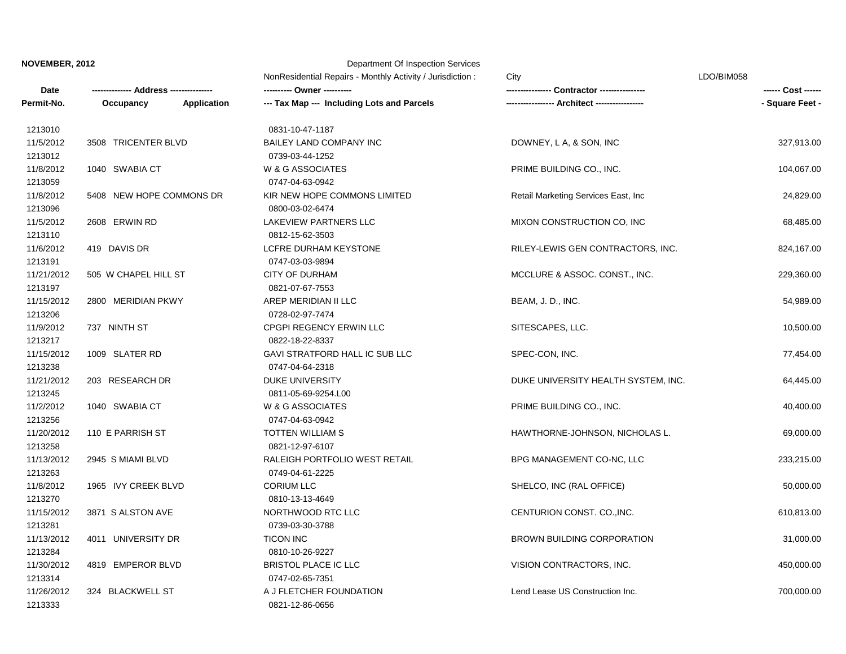**NOVEMBER, 2012** Department Of Inspection Services

**Date -------------- Address --------------- ---------- Owner ---------- ---------------- Contractor ---------------- ------ Cost ------ Permit-No. Occupancy Application --- Tax Map --- Including Lots and Parcels ----------------- Architect ----------------- - Square Feet -** NonResidential Repairs - Monthly Activity / Jurisdiction : City Company Control and Muslim CDO/BIM058 11/26/2012 324 BLACKWELL ST A J FLETCHER FOUNDATION Lend Lease US Construction Inc. 700,000.00 1213314 0747-02-65-7351 11/30/2012 4819 EMPEROR BLVD BRISTOL PLACE IC LLC VISION CONTRACTORS, INC. 450,000.00 11/13/2012 4011 UNIVERSITY DR TICON INC BROWN BUILDING CORPORATION 31,000.00 1213284 0810-10-26-9227 1213281 0739-03-30-3788 11/15/2012 3871 S ALSTON AVE NORTHWOOD RTC LLC CENTURION CONST. CO.,INC. 610,813.00 11/8/2012 1965 IVY CREEK BLVD CORIUM LLC SHELCO, INC (RAL OFFICE) 50,000.00 1213270 0810-13-13-4649 1213263 0749-04-61-2225 11/13/2012 2945 S MIAMI BLVD RALEIGH PORTFOLIO WEST RETAIL BPG MANAGEMENT CO-NC, LLC 233,215.00 11/20/2012 110 E PARRISH ST TOTTEN WILLIAM S HAWTHORNE-JOHNSON, NICHOLAS L. 69,000.00 1213258 0821-12-97-6107 1213256 0747-04-63-0942 11/2/2012 1040 SWABIA CT W & G ASSOCIATES PRIME BUILDING CO., INC. 40,400.00 11/21/2012 203 RESEARCH DR DUKE UNIVERSITY DUKE UNIVERSITY HEALTH SYSTEM, INC. 64,445.00 1213245 0811-05-69-9254.L00 1213238 0747-04-64-2318 11/15/2012 1009 SLATER RD GAVI STRATFORD HALL IC SUB LLC SPEC-CON, INC. SPEC-CON, INC. 77,454.00 11/9/2012 737 NINTH ST CPGPI REGENCY ERWIN LLC SITESCAPES, LLC. 10,500.00 1213217 0822-18-22-8337 1213206 0728-02-97-7474 11/15/2012 2800 MERIDIAN PKWY AREP MERIDIAN II LLC BEAM, J. D., INC. 54,989.00 11/21/2012 505 W CHAPEL HILL ST CITY OF DURHAM MCCLURE & ASSOC. CONST., INC. 229,360.00 1213197 0821-07-67-7553 1213191 0747-03-03-9894 11/6/2012 419 DAVIS DR LCFRE DURHAM KEYSTONE RILEY-LEWIS GEN CONTRACTORS, INC. 824,167.00 11/5/2012 2608 ERWIN RD LAKEVIEW PARTNERS LLC MIXON CONSTRUCTION CO, INC 68,485.00 1213110 0812-15-62-3503 1213096 0800-03-02-6474 11/8/2012 5408 NEW HOPE COMMONS DR KIR NEW HOPE COMMONS LIMITED Retail Marketing Services East, Inc 24,829.00 11/8/2012 1040 SWABIA CT W & G ASSOCIATES PRIME BUILDING CO., INC. 104,067.00 1213059 0747-04-63-0942 1213012 0739-03-44-1252 11/5/2012 3508 TRICENTER BLVD BAILEY LAND COMPANY INC DOWNEY, L A, & SON, INC 327,913.00 1213010 0831-10-47-1187

1213333 0821-12-86-0656